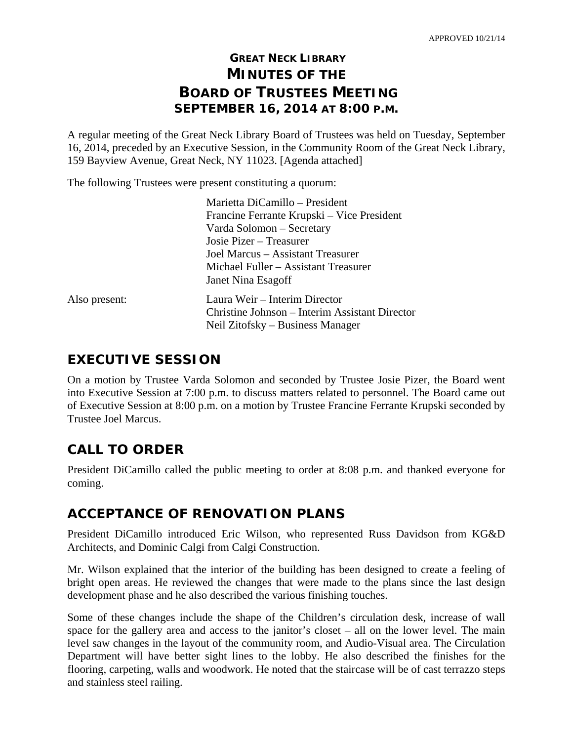# **GREAT NECK LIBRARY MINUTES OF THE BOARD OF TRUSTEES MEETING SEPTEMBER 16, 2014 AT 8:00 P.M.**

A regular meeting of the Great Neck Library Board of Trustees was held on Tuesday, September 16, 2014, preceded by an Executive Session, in the Community Room of the Great Neck Library, 159 Bayview Avenue, Great Neck, NY 11023. [Agenda attached]

The following Trustees were present constituting a quorum:

|               | Marietta DiCamillo - President                                                  |
|---------------|---------------------------------------------------------------------------------|
|               | Francine Ferrante Krupski – Vice President                                      |
|               | Varda Solomon - Secretary                                                       |
|               | Josie Pizer – Treasurer                                                         |
|               | Joel Marcus – Assistant Treasurer                                               |
|               | Michael Fuller – Assistant Treasurer                                            |
|               | Janet Nina Esagoff                                                              |
| Also present: | Laura Weir – Interim Director<br>Christine Johnson – Interim Assistant Director |
|               | Neil Zitofsky – Business Manager                                                |

# **EXECUTIVE SESSION**

On a motion by Trustee Varda Solomon and seconded by Trustee Josie Pizer, the Board went into Executive Session at 7:00 p.m. to discuss matters related to personnel. The Board came out of Executive Session at 8:00 p.m. on a motion by Trustee Francine Ferrante Krupski seconded by Trustee Joel Marcus.

# **CALL TO ORDER**

President DiCamillo called the public meeting to order at 8:08 p.m. and thanked everyone for coming.

# **ACCEPTANCE OF RENOVATION PLANS**

President DiCamillo introduced Eric Wilson, who represented Russ Davidson from KG&D Architects, and Dominic Calgi from Calgi Construction.

Mr. Wilson explained that the interior of the building has been designed to create a feeling of bright open areas. He reviewed the changes that were made to the plans since the last design development phase and he also described the various finishing touches.

Some of these changes include the shape of the Children's circulation desk, increase of wall space for the gallery area and access to the janitor's closet – all on the lower level. The main level saw changes in the layout of the community room, and Audio-Visual area. The Circulation Department will have better sight lines to the lobby. He also described the finishes for the flooring, carpeting, walls and woodwork. He noted that the staircase will be of cast terrazzo steps and stainless steel railing.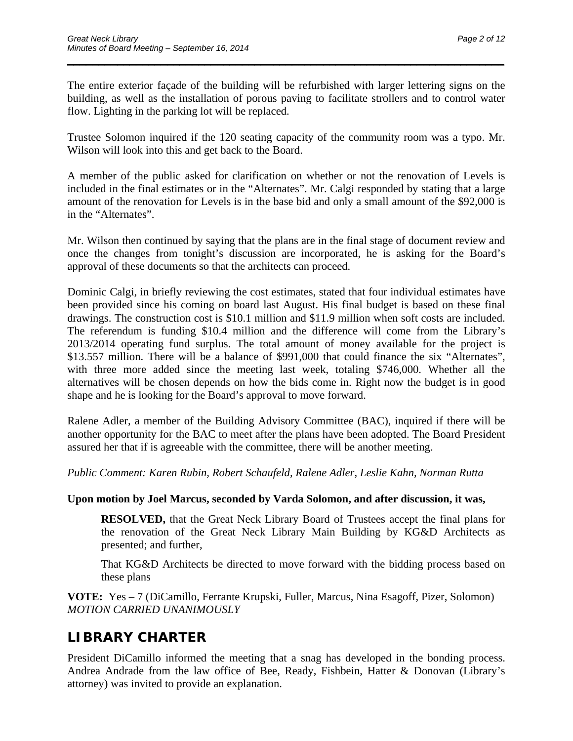The entire exterior façade of the building will be refurbished with larger lettering signs on the building, as well as the installation of porous paving to facilitate strollers and to control water flow. Lighting in the parking lot will be replaced.

\_\_\_\_\_\_\_\_\_\_\_\_\_\_\_\_\_\_\_\_\_\_\_\_\_\_\_\_\_\_\_\_\_\_\_\_\_\_\_\_\_\_\_\_\_\_\_\_\_\_\_\_\_\_\_\_\_\_\_\_\_\_\_\_\_\_\_\_\_\_

Trustee Solomon inquired if the 120 seating capacity of the community room was a typo. Mr. Wilson will look into this and get back to the Board.

A member of the public asked for clarification on whether or not the renovation of Levels is included in the final estimates or in the "Alternates". Mr. Calgi responded by stating that a large amount of the renovation for Levels is in the base bid and only a small amount of the \$92,000 is in the "Alternates".

Mr. Wilson then continued by saying that the plans are in the final stage of document review and once the changes from tonight's discussion are incorporated, he is asking for the Board's approval of these documents so that the architects can proceed.

Dominic Calgi, in briefly reviewing the cost estimates, stated that four individual estimates have been provided since his coming on board last August. His final budget is based on these final drawings. The construction cost is \$10.1 million and \$11.9 million when soft costs are included. The referendum is funding \$10.4 million and the difference will come from the Library's 2013/2014 operating fund surplus. The total amount of money available for the project is \$13.557 million. There will be a balance of \$991,000 that could finance the six "Alternates", with three more added since the meeting last week, totaling \$746,000. Whether all the alternatives will be chosen depends on how the bids come in. Right now the budget is in good shape and he is looking for the Board's approval to move forward.

Ralene Adler, a member of the Building Advisory Committee (BAC), inquired if there will be another opportunity for the BAC to meet after the plans have been adopted. The Board President assured her that if is agreeable with the committee, there will be another meeting.

*Public Comment: Karen Rubin, Robert Schaufeld, Ralene Adler, Leslie Kahn, Norman Rutta* 

### **Upon motion by Joel Marcus, seconded by Varda Solomon, and after discussion, it was,**

**RESOLVED,** that the Great Neck Library Board of Trustees accept the final plans for the renovation of the Great Neck Library Main Building by KG&D Architects as presented; and further,

That KG&D Architects be directed to move forward with the bidding process based on these plans

**VOTE:** Yes – 7 (DiCamillo, Ferrante Krupski, Fuller, Marcus, Nina Esagoff, Pizer, Solomon) *MOTION CARRIED UNANIMOUSLY* 

# **LIBRARY CHARTER**

President DiCamillo informed the meeting that a snag has developed in the bonding process. Andrea Andrade from the law office of Bee, Ready, Fishbein, Hatter & Donovan (Library's attorney) was invited to provide an explanation.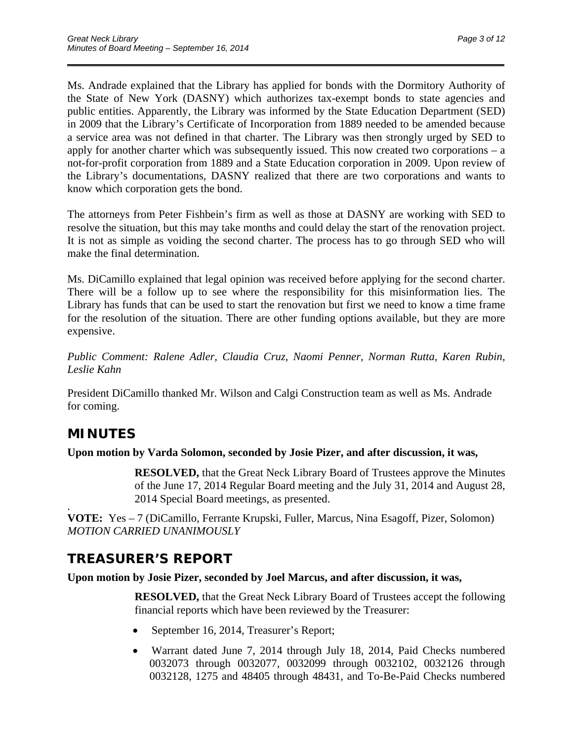Ms. Andrade explained that the Library has applied for bonds with the Dormitory Authority of the State of New York (DASNY) which authorizes tax-exempt bonds to state agencies and public entities. Apparently, the Library was informed by the State Education Department (SED) in 2009 that the Library's Certificate of Incorporation from 1889 needed to be amended because a service area was not defined in that charter. The Library was then strongly urged by SED to apply for another charter which was subsequently issued. This now created two corporations – a not-for-profit corporation from 1889 and a State Education corporation in 2009. Upon review of the Library's documentations, DASNY realized that there are two corporations and wants to know which corporation gets the bond.

\_\_\_\_\_\_\_\_\_\_\_\_\_\_\_\_\_\_\_\_\_\_\_\_\_\_\_\_\_\_\_\_\_\_\_\_\_\_\_\_\_\_\_\_\_\_\_\_\_\_\_\_\_\_\_\_\_\_\_\_\_\_\_\_\_\_\_\_\_\_

The attorneys from Peter Fishbein's firm as well as those at DASNY are working with SED to resolve the situation, but this may take months and could delay the start of the renovation project. It is not as simple as voiding the second charter. The process has to go through SED who will make the final determination.

Ms. DiCamillo explained that legal opinion was received before applying for the second charter. There will be a follow up to see where the responsibility for this misinformation lies. The Library has funds that can be used to start the renovation but first we need to know a time frame for the resolution of the situation. There are other funding options available, but they are more expensive.

*Public Comment: Ralene Adler, Claudia Cruz, Naomi Penner, Norman Rutta, Karen Rubin, Leslie Kahn* 

President DiCamillo thanked Mr. Wilson and Calgi Construction team as well as Ms. Andrade for coming.

# **MINUTES**

### **Upon motion by Varda Solomon, seconded by Josie Pizer, and after discussion, it was,**

**RESOLVED,** that the Great Neck Library Board of Trustees approve the Minutes of the June 17, 2014 Regular Board meeting and the July 31, 2014 and August 28, 2014 Special Board meetings, as presented. .

**VOTE:** Yes – 7 (DiCamillo, Ferrante Krupski, Fuller, Marcus, Nina Esagoff, Pizer, Solomon) *MOTION CARRIED UNANIMOUSLY* 

# **TREASURER'S REPORT**

## **Upon motion by Josie Pizer, seconded by Joel Marcus, and after discussion, it was,**

**RESOLVED,** that the Great Neck Library Board of Trustees accept the following financial reports which have been reviewed by the Treasurer:

- September 16, 2014, Treasurer's Report;
- Warrant dated June 7, 2014 through July 18, 2014, Paid Checks numbered 0032073 through 0032077, 0032099 through 0032102, 0032126 through 0032128, 1275 and 48405 through 48431, and To-Be-Paid Checks numbered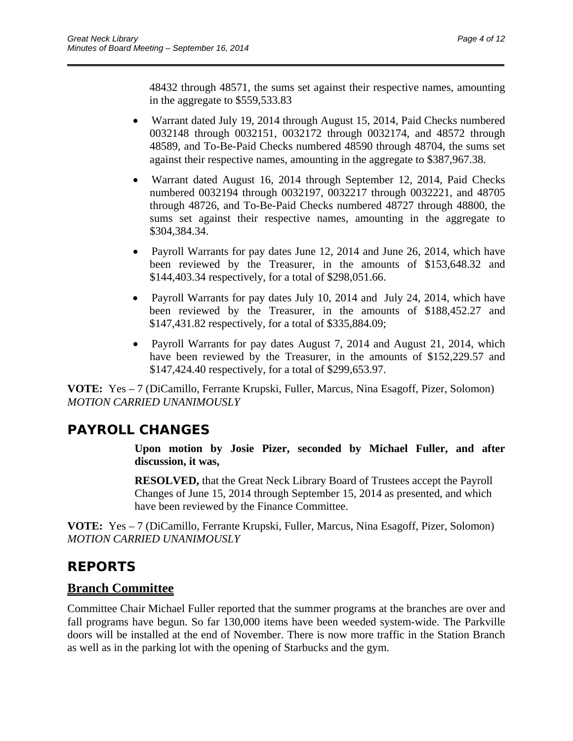48432 through 48571, the sums set against their respective names, amounting in the aggregate to \$559,533.83

\_\_\_\_\_\_\_\_\_\_\_\_\_\_\_\_\_\_\_\_\_\_\_\_\_\_\_\_\_\_\_\_\_\_\_\_\_\_\_\_\_\_\_\_\_\_\_\_\_\_\_\_\_\_\_\_\_\_\_\_\_\_\_\_\_\_\_\_\_\_

- Warrant dated July 19, 2014 through August 15, 2014, Paid Checks numbered 0032148 through 0032151, 0032172 through 0032174, and 48572 through 48589, and To-Be-Paid Checks numbered 48590 through 48704, the sums set against their respective names, amounting in the aggregate to \$387,967.38.
- Warrant dated August 16, 2014 through September 12, 2014, Paid Checks numbered 0032194 through 0032197, 0032217 through 0032221, and 48705 through 48726, and To-Be-Paid Checks numbered 48727 through 48800, the sums set against their respective names, amounting in the aggregate to \$304,384.34.
- Payroll Warrants for pay dates June 12, 2014 and June 26, 2014, which have been reviewed by the Treasurer, in the amounts of \$153,648.32 and \$144,403.34 respectively, for a total of \$298,051.66.
- Payroll Warrants for pay dates July 10, 2014 and July 24, 2014, which have been reviewed by the Treasurer, in the amounts of \$188,452.27 and \$147,431.82 respectively, for a total of \$335,884.09;
- Payroll Warrants for pay dates August 7, 2014 and August 21, 2014, which have been reviewed by the Treasurer, in the amounts of \$152,229.57 and \$147,424.40 respectively, for a total of \$299,653.97.

**VOTE:** Yes – 7 (DiCamillo, Ferrante Krupski, Fuller, Marcus, Nina Esagoff, Pizer, Solomon) *MOTION CARRIED UNANIMOUSLY* 

# **PAYROLL CHANGES**

**Upon motion by Josie Pizer, seconded by Michael Fuller, and after discussion, it was,** 

**RESOLVED,** that the Great Neck Library Board of Trustees accept the Payroll Changes of June 15, 2014 through September 15, 2014 as presented, and which have been reviewed by the Finance Committee.

**VOTE:** Yes – 7 (DiCamillo, Ferrante Krupski, Fuller, Marcus, Nina Esagoff, Pizer, Solomon) *MOTION CARRIED UNANIMOUSLY* 

# **REPORTS**

## **Branch Committee**

Committee Chair Michael Fuller reported that the summer programs at the branches are over and fall programs have begun. So far 130,000 items have been weeded system-wide. The Parkville doors will be installed at the end of November. There is now more traffic in the Station Branch as well as in the parking lot with the opening of Starbucks and the gym.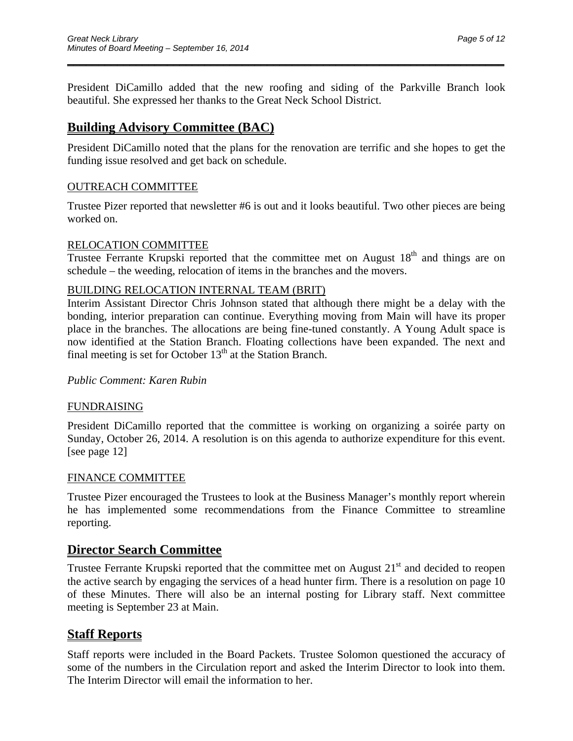President DiCamillo added that the new roofing and siding of the Parkville Branch look beautiful. She expressed her thanks to the Great Neck School District.

\_\_\_\_\_\_\_\_\_\_\_\_\_\_\_\_\_\_\_\_\_\_\_\_\_\_\_\_\_\_\_\_\_\_\_\_\_\_\_\_\_\_\_\_\_\_\_\_\_\_\_\_\_\_\_\_\_\_\_\_\_\_\_\_\_\_\_\_\_\_

# **Building Advisory Committee (BAC)**

President DiCamillo noted that the plans for the renovation are terrific and she hopes to get the funding issue resolved and get back on schedule.

### OUTREACH COMMITTEE

Trustee Pizer reported that newsletter #6 is out and it looks beautiful. Two other pieces are being worked on.

### RELOCATION COMMITTEE

Trustee Ferrante Krupski reported that the committee met on August  $18<sup>th</sup>$  and things are on schedule – the weeding, relocation of items in the branches and the movers.

### BUILDING RELOCATION INTERNAL TEAM (BRIT)

Interim Assistant Director Chris Johnson stated that although there might be a delay with the bonding, interior preparation can continue. Everything moving from Main will have its proper place in the branches. The allocations are being fine-tuned constantly. A Young Adult space is now identified at the Station Branch. Floating collections have been expanded. The next and final meeting is set for October  $13<sup>th</sup>$  at the Station Branch.

### *Public Comment: Karen Rubin*

### FUNDRAISING

President DiCamillo reported that the committee is working on organizing a soirée party on Sunday, October 26, 2014. A resolution is on this agenda to authorize expenditure for this event. [see page 12]

### FINANCE COMMITTEE

Trustee Pizer encouraged the Trustees to look at the Business Manager's monthly report wherein he has implemented some recommendations from the Finance Committee to streamline reporting.

## **Director Search Committee**

Trustee Ferrante Krupski reported that the committee met on August 21<sup>st</sup> and decided to reopen the active search by engaging the services of a head hunter firm. There is a resolution on page 10 of these Minutes. There will also be an internal posting for Library staff. Next committee meeting is September 23 at Main.

## **Staff Reports**

Staff reports were included in the Board Packets. Trustee Solomon questioned the accuracy of some of the numbers in the Circulation report and asked the Interim Director to look into them. The Interim Director will email the information to her.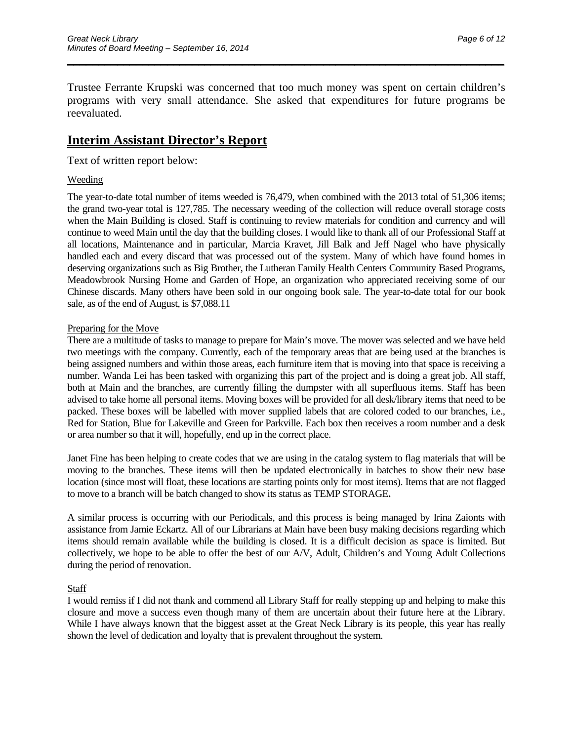Trustee Ferrante Krupski was concerned that too much money was spent on certain children's programs with very small attendance. She asked that expenditures for future programs be reevaluated.

\_\_\_\_\_\_\_\_\_\_\_\_\_\_\_\_\_\_\_\_\_\_\_\_\_\_\_\_\_\_\_\_\_\_\_\_\_\_\_\_\_\_\_\_\_\_\_\_\_\_\_\_\_\_\_\_\_\_\_\_\_\_\_\_\_\_\_\_\_\_

## **Interim Assistant Director's Report**

Text of written report below:

### Weeding

The year-to-date total number of items weeded is 76,479, when combined with the 2013 total of 51,306 items; the grand two-year total is 127,785. The necessary weeding of the collection will reduce overall storage costs when the Main Building is closed. Staff is continuing to review materials for condition and currency and will continue to weed Main until the day that the building closes. I would like to thank all of our Professional Staff at all locations, Maintenance and in particular, Marcia Kravet, Jill Balk and Jeff Nagel who have physically handled each and every discard that was processed out of the system. Many of which have found homes in deserving organizations such as Big Brother, the Lutheran Family Health Centers Community Based Programs, Meadowbrook Nursing Home and Garden of Hope, an organization who appreciated receiving some of our Chinese discards. Many others have been sold in our ongoing book sale. The year-to-date total for our book sale, as of the end of August, is \$7,088.11

### Preparing for the Move

There are a multitude of tasks to manage to prepare for Main's move. The mover was selected and we have held two meetings with the company. Currently, each of the temporary areas that are being used at the branches is being assigned numbers and within those areas, each furniture item that is moving into that space is receiving a number. Wanda Lei has been tasked with organizing this part of the project and is doing a great job. All staff, both at Main and the branches, are currently filling the dumpster with all superfluous items. Staff has been advised to take home all personal items. Moving boxes will be provided for all desk/library items that need to be packed. These boxes will be labelled with mover supplied labels that are colored coded to our branches, i.e., Red for Station, Blue for Lakeville and Green for Parkville. Each box then receives a room number and a desk or area number so that it will, hopefully, end up in the correct place.

Janet Fine has been helping to create codes that we are using in the catalog system to flag materials that will be moving to the branches. These items will then be updated electronically in batches to show their new base location (since most will float, these locations are starting points only for most items). Items that are not flagged to move to a branch will be batch changed to show its status as TEMP STORAGE**.** 

A similar process is occurring with our Periodicals, and this process is being managed by Irina Zaionts with assistance from Jamie Eckartz. All of our Librarians at Main have been busy making decisions regarding which items should remain available while the building is closed. It is a difficult decision as space is limited. But collectively, we hope to be able to offer the best of our A/V, Adult, Children's and Young Adult Collections during the period of renovation.

#### **Staff**

I would remiss if I did not thank and commend all Library Staff for really stepping up and helping to make this closure and move a success even though many of them are uncertain about their future here at the Library. While I have always known that the biggest asset at the Great Neck Library is its people, this year has really shown the level of dedication and loyalty that is prevalent throughout the system.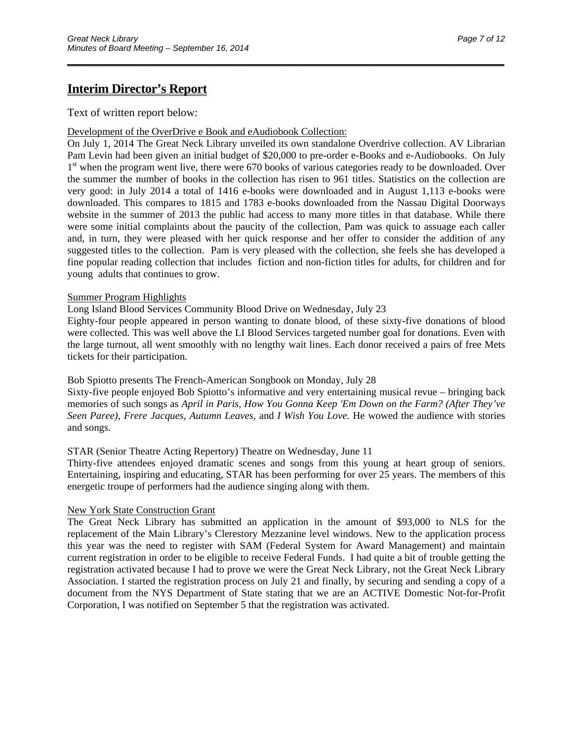## **Interim Director's Report**

Text of written report below:

#### Development of the OverDrive e Book and eAudiobook Collection:

On July 1, 2014 The Great Neck Library unveiled its own standalone Overdrive collection. AV Librarian Pam Levin had been given an initial budget of \$20,000 to pre-order e-Books and e-Audiobooks. On July 1<sup>st</sup> when the program went live, there were 670 books of various categories ready to be downloaded. Over the summer the number of books in the collection has risen to 961 titles. Statistics on the collection are very good: in July 2014 a total of 1416 e-books were downloaded and in August 1,113 e-books were downloaded. This compares to 1815 and 1783 e-books downloaded from the Nassau Digital Doorways website in the summer of 2013 the public had access to many more titles in that database. While there were some initial complaints about the paucity of the collection, Pam was quick to assuage each caller and, in turn, they were pleased with her quick response and her offer to consider the addition of any suggested titles to the collection. Pam is very pleased with the collection, she feels she has developed a fine popular reading collection that includes fiction and non-fiction titles for adults, for children and for young adults that continues to grow.

\_\_\_\_\_\_\_\_\_\_\_\_\_\_\_\_\_\_\_\_\_\_\_\_\_\_\_\_\_\_\_\_\_\_\_\_\_\_\_\_\_\_\_\_\_\_\_\_\_\_\_\_\_\_\_\_\_\_\_\_\_\_\_\_\_\_\_\_\_\_

#### Summer Program Highlights

Long Island Blood Services Community Blood Drive on Wednesday, July 23

Eighty-four people appeared in person wanting to donate blood, of these sixty-five donations of blood were collected. This was well above the LI Blood Services targeted number goal for donations. Even with the large turnout, all went smoothly with no lengthy wait lines. Each donor received a pairs of free Mets tickets for their participation.

Bob Spiotto presents The French-American Songbook on Monday, July 28

Sixty-five people enjoyed Bob Spiotto's informative and very entertaining musical revue – bringing back memories of such songs as *April in Paris, How You Gonna Keep 'Em Down on the Farm? (After They've Seen Paree), Frere Jacques, Autumn Leaves,* and *I Wish You Love.* He wowed the audience with stories and songs.

STAR (Senior Theatre Acting Repertory) Theatre on Wednesday, June 11

Thirty-five attendees enjoyed dramatic scenes and songs from this young at heart group of seniors. Entertaining, inspiring and educating, STAR has been performing for over 25 years. The members of this energetic troupe of performers had the audience singing along with them.

### New York State Construction Grant

The Great Neck Library has submitted an application in the amount of \$93,000 to NLS for the replacement of the Main Library's Clerestory Mezzanine level windows. New to the application process this year was the need to register with SAM (Federal System for Award Management) and maintain current registration in order to be eligible to receive Federal Funds. I had quite a bit of trouble getting the registration activated because I had to prove we were the Great Neck Library, not the Great Neck Library Association. I started the registration process on July 21 and finally, by securing and sending a copy of a document from the NYS Department of State stating that we are an ACTIVE Domestic Not-for-Profit Corporation, I was notified on September 5 that the registration was activated.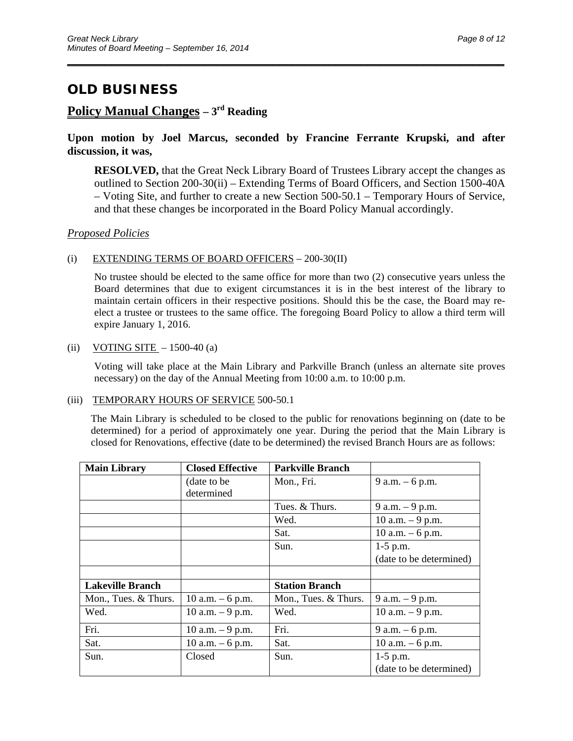# **Policy Manual Changes – 3rd Reading**

### **Upon motion by Joel Marcus, seconded by Francine Ferrante Krupski, and after discussion, it was,**

\_\_\_\_\_\_\_\_\_\_\_\_\_\_\_\_\_\_\_\_\_\_\_\_\_\_\_\_\_\_\_\_\_\_\_\_\_\_\_\_\_\_\_\_\_\_\_\_\_\_\_\_\_\_\_\_\_\_\_\_\_\_\_\_\_\_\_\_\_\_

**RESOLVED,** that the Great Neck Library Board of Trustees Library accept the changes as outlined to Section 200-30(ii) – Extending Terms of Board Officers, and Section 1500-40A – Voting Site, and further to create a new Section 500-50.1 – Temporary Hours of Service, and that these changes be incorporated in the Board Policy Manual accordingly.

### *Proposed Policies*

### (i) EXTENDING TERMS OF BOARD OFFICERS  $- 200 - 30(II)$

No trustee should be elected to the same office for more than two (2) consecutive years unless the Board determines that due to exigent circumstances it is in the best interest of the library to maintain certain officers in their respective positions. Should this be the case, the Board may reelect a trustee or trustees to the same office. The foregoing Board Policy to allow a third term will expire January 1, 2016.

### (ii) VOTING SITE  $-1500-40$  (a)

 Voting will take place at the Main Library and Parkville Branch (unless an alternate site proves necessary) on the day of the Annual Meeting from 10:00 a.m. to 10:00 p.m.

#### (iii) TEMPORARY HOURS OF SERVICE 500-50.1

 The Main Library is scheduled to be closed to the public for renovations beginning on (date to be determined) for a period of approximately one year. During the period that the Main Library is closed for Renovations, effective (date to be determined) the revised Branch Hours are as follows:

| <b>Main Library</b>     | <b>Closed Effective</b> | <b>Parkville Branch</b> |                         |
|-------------------------|-------------------------|-------------------------|-------------------------|
|                         | (date to be)            | Mon., Fri.              | $9 a.m. - 6 p.m.$       |
|                         | determined              |                         |                         |
|                         |                         | Tues. & Thurs.          | 9 a.m. $-9$ p.m.        |
|                         |                         | Wed.                    | 10 a.m. $-9$ p.m.       |
|                         |                         | Sat.                    | 10 a.m. $-6$ p.m.       |
|                         |                         | Sun.                    | $1-5$ p.m.              |
|                         |                         |                         | (date to be determined) |
|                         |                         |                         |                         |
| <b>Lakeville Branch</b> |                         | <b>Station Branch</b>   |                         |
| Mon., Tues. & Thurs.    | 10 a.m. $-6$ p.m.       | Mon., Tues. & Thurs.    | $9$ a.m. $-9$ p.m.      |
| Wed.                    | 10 a.m. $-9$ p.m.       | Wed.                    | 10 a.m. $-9$ p.m.       |
| Fri.                    | 10 a.m. $-9$ p.m.       | Fri.                    | 9 a.m. $-6$ p.m.        |
| Sat.                    | 10 a.m. $-6$ p.m.       | Sat.                    | 10 a.m. $-6$ p.m.       |
| Sun.                    | Closed                  | Sun.                    | $1-5$ p.m.              |
|                         |                         |                         | (date to be determined) |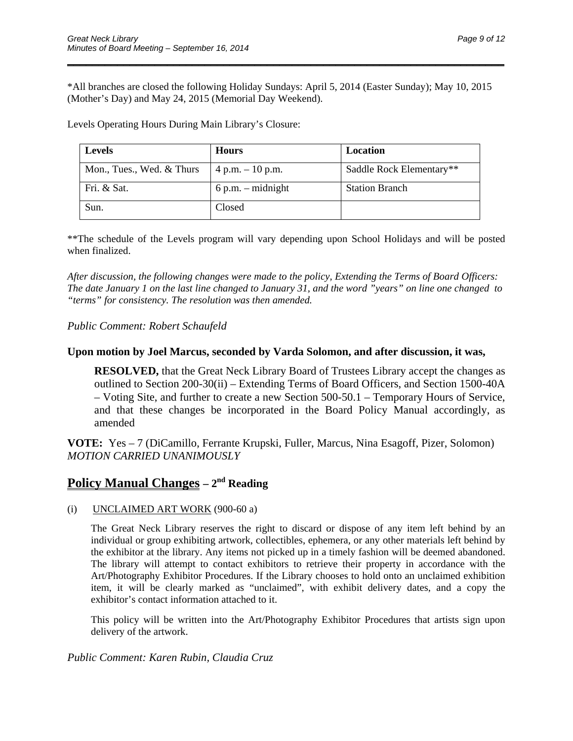\*All branches are closed the following Holiday Sundays: April 5, 2014 (Easter Sunday); May 10, 2015 (Mother's Day) and May 24, 2015 (Memorial Day Weekend).

\_\_\_\_\_\_\_\_\_\_\_\_\_\_\_\_\_\_\_\_\_\_\_\_\_\_\_\_\_\_\_\_\_\_\_\_\_\_\_\_\_\_\_\_\_\_\_\_\_\_\_\_\_\_\_\_\_\_\_\_\_\_\_\_\_\_\_\_\_\_

Levels Operating Hours During Main Library's Closure:

| <b>Levels</b>             | <b>Hours</b>        | Location                 |
|---------------------------|---------------------|--------------------------|
| Mon., Tues., Wed. & Thurs | $4 p.m. - 10 p.m.$  | Saddle Rock Elementary** |
| Fri. & Sat.               | $6 p.m. - midnight$ | <b>Station Branch</b>    |
| Sun.                      | Closed              |                          |

\*\*The schedule of the Levels program will vary depending upon School Holidays and will be posted when finalized.

*After discussion, the following changes were made to the policy, Extending the Terms of Board Officers: The date January 1 on the last line changed to January 31, and the word "years" on line one changed to "terms" for consistency. The resolution was then amended.* 

### *Public Comment: Robert Schaufeld*

#### **Upon motion by Joel Marcus, seconded by Varda Solomon, and after discussion, it was,**

**RESOLVED,** that the Great Neck Library Board of Trustees Library accept the changes as outlined to Section 200-30(ii) – Extending Terms of Board Officers, and Section 1500-40A – Voting Site, and further to create a new Section 500-50.1 – Temporary Hours of Service, and that these changes be incorporated in the Board Policy Manual accordingly, as amended

**VOTE:** Yes – 7 (DiCamillo, Ferrante Krupski, Fuller, Marcus, Nina Esagoff, Pizer, Solomon) *MOTION CARRIED UNANIMOUSLY* 

## **Policy Manual Changes – 2<sup>nd</sup> Reading**

(i) UNCLAIMED ART WORK (900-60 a)

The Great Neck Library reserves the right to discard or dispose of any item left behind by an individual or group exhibiting artwork, collectibles, ephemera, or any other materials left behind by the exhibitor at the library. Any items not picked up in a timely fashion will be deemed abandoned. The library will attempt to contact exhibitors to retrieve their property in accordance with the Art/Photography Exhibitor Procedures. If the Library chooses to hold onto an unclaimed exhibition item, it will be clearly marked as "unclaimed", with exhibit delivery dates, and a copy the exhibitor's contact information attached to it.

This policy will be written into the Art/Photography Exhibitor Procedures that artists sign upon delivery of the artwork.

*Public Comment: Karen Rubin, Claudia Cruz*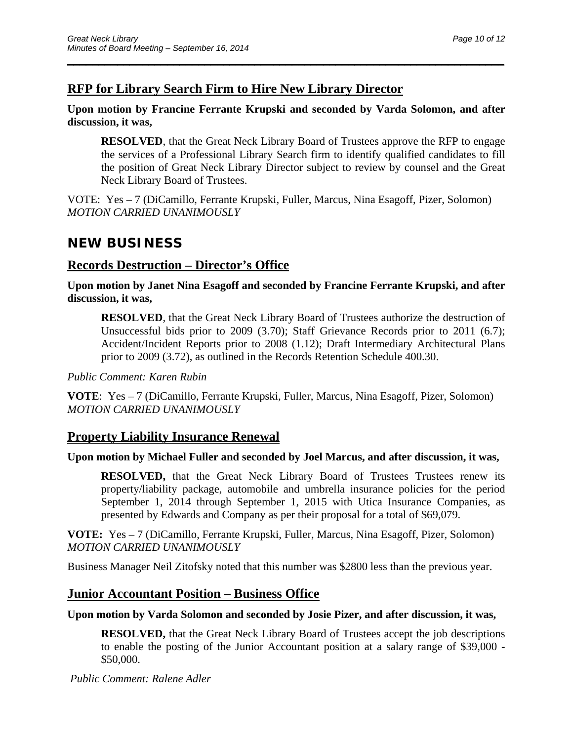## **RFP for Library Search Firm to Hire New Library Director**

### **Upon motion by Francine Ferrante Krupski and seconded by Varda Solomon, and after discussion, it was,**

\_\_\_\_\_\_\_\_\_\_\_\_\_\_\_\_\_\_\_\_\_\_\_\_\_\_\_\_\_\_\_\_\_\_\_\_\_\_\_\_\_\_\_\_\_\_\_\_\_\_\_\_\_\_\_\_\_\_\_\_\_\_\_\_\_\_\_\_\_\_

**RESOLVED**, that the Great Neck Library Board of Trustees approve the RFP to engage the services of a Professional Library Search firm to identify qualified candidates to fill the position of Great Neck Library Director subject to review by counsel and the Great Neck Library Board of Trustees.

VOTE: Yes – 7 (DiCamillo, Ferrante Krupski, Fuller, Marcus, Nina Esagoff, Pizer, Solomon) *MOTION CARRIED UNANIMOUSLY* 

# **NEW BUSINESS**

## **Records Destruction – Director's Office**

**Upon motion by Janet Nina Esagoff and seconded by Francine Ferrante Krupski, and after discussion, it was,** 

**RESOLVED**, that the Great Neck Library Board of Trustees authorize the destruction of Unsuccessful bids prior to 2009 (3.70); Staff Grievance Records prior to 2011 (6.7); Accident/Incident Reports prior to 2008 (1.12); Draft Intermediary Architectural Plans prior to 2009 (3.72), as outlined in the Records Retention Schedule 400.30.

### *Public Comment: Karen Rubin*

**VOTE**: Yes – 7 (DiCamillo, Ferrante Krupski, Fuller, Marcus, Nina Esagoff, Pizer, Solomon) *MOTION CARRIED UNANIMOUSLY* 

## **Property Liability Insurance Renewal**

## **Upon motion by Michael Fuller and seconded by Joel Marcus, and after discussion, it was,**

**RESOLVED,** that the Great Neck Library Board of Trustees Trustees renew its property/liability package, automobile and umbrella insurance policies for the period September 1, 2014 through September 1, 2015 with Utica Insurance Companies, as presented by Edwards and Company as per their proposal for a total of \$69,079.

**VOTE:** Yes – 7 (DiCamillo, Ferrante Krupski, Fuller, Marcus, Nina Esagoff, Pizer, Solomon) *MOTION CARRIED UNANIMOUSLY* 

Business Manager Neil Zitofsky noted that this number was \$2800 less than the previous year.

## **Junior Accountant Position – Business Office**

## **Upon motion by Varda Solomon and seconded by Josie Pizer, and after discussion, it was,**

**RESOLVED,** that the Great Neck Library Board of Trustees accept the job descriptions to enable the posting of the Junior Accountant position at a salary range of \$39,000 - \$50,000.

*Public Comment: Ralene Adler*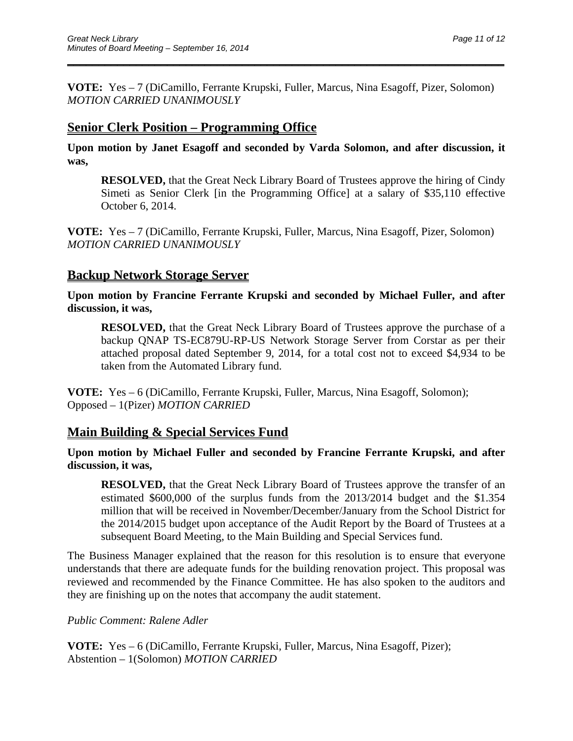**VOTE:** Yes – 7 (DiCamillo, Ferrante Krupski, Fuller, Marcus, Nina Esagoff, Pizer, Solomon) *MOTION CARRIED UNANIMOUSLY* 

\_\_\_\_\_\_\_\_\_\_\_\_\_\_\_\_\_\_\_\_\_\_\_\_\_\_\_\_\_\_\_\_\_\_\_\_\_\_\_\_\_\_\_\_\_\_\_\_\_\_\_\_\_\_\_\_\_\_\_\_\_\_\_\_\_\_\_\_\_\_

## **Senior Clerk Position – Programming Office**

**Upon motion by Janet Esagoff and seconded by Varda Solomon, and after discussion, it was,** 

**RESOLVED,** that the Great Neck Library Board of Trustees approve the hiring of Cindy Simeti as Senior Clerk [in the Programming Office] at a salary of \$35,110 effective October 6, 2014.

**VOTE:** Yes – 7 (DiCamillo, Ferrante Krupski, Fuller, Marcus, Nina Esagoff, Pizer, Solomon) *MOTION CARRIED UNANIMOUSLY* 

## **Backup Network Storage Server**

**Upon motion by Francine Ferrante Krupski and seconded by Michael Fuller, and after discussion, it was,** 

**RESOLVED,** that the Great Neck Library Board of Trustees approve the purchase of a backup QNAP TS-EC879U-RP-US Network Storage Server from Corstar as per their attached proposal dated September 9, 2014, for a total cost not to exceed \$4,934 to be taken from the Automated Library fund.

**VOTE:** Yes – 6 (DiCamillo, Ferrante Krupski, Fuller, Marcus, Nina Esagoff, Solomon); Opposed – 1(Pizer) *MOTION CARRIED*

## **Main Building & Special Services Fund**

**Upon motion by Michael Fuller and seconded by Francine Ferrante Krupski, and after discussion, it was,** 

**RESOLVED,** that the Great Neck Library Board of Trustees approve the transfer of an estimated \$600,000 of the surplus funds from the 2013/2014 budget and the \$1.354 million that will be received in November/December/January from the School District for the 2014/2015 budget upon acceptance of the Audit Report by the Board of Trustees at a subsequent Board Meeting, to the Main Building and Special Services fund.

The Business Manager explained that the reason for this resolution is to ensure that everyone understands that there are adequate funds for the building renovation project. This proposal was reviewed and recommended by the Finance Committee. He has also spoken to the auditors and they are finishing up on the notes that accompany the audit statement.

*Public Comment: Ralene Adler* 

**VOTE:** Yes – 6 (DiCamillo, Ferrante Krupski, Fuller, Marcus, Nina Esagoff, Pizer); Abstention – 1(Solomon) *MOTION CARRIED*